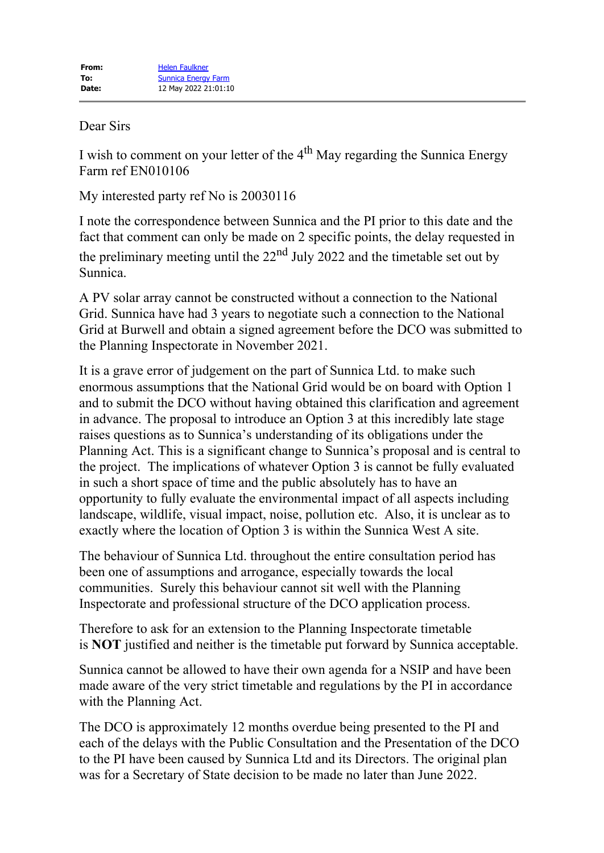## Dear Sirs

I wish to comment on your letter of the  $4<sup>th</sup>$  May regarding the Sunnica Energy Farm ref EN010106

My interested party ref No is 20030116

I note the correspondence between Sunnica and the PI prior to this date and the fact that comment can only be made on 2 specific points, the delay requested in the preliminary meeting until the  $22<sup>nd</sup>$  July 2022 and the timetable set out by Sunnica.

A PV solar array cannot be constructed without a connection to the National Grid. Sunnica have had 3 years to negotiate such a connection to the National Grid at Burwell and obtain a signed agreement before the DCO was submitted to the Planning Inspectorate in November 2021.

It is a grave error of judgement on the part of Sunnica Ltd. to make such enormous assumptions that the National Grid would be on board with Option 1 and to submit the DCO without having obtained this clarification and agreement in advance. The proposal to introduce an Option 3 at this incredibly late stage raises questions as to Sunnica's understanding of its obligations under the Planning Act. This is a significant change to Sunnica's proposal and is central to the project. The implications of whatever Option 3 is cannot be fully evaluated in such a short space of time and the public absolutely has to have an opportunity to fully evaluate the environmental impact of all aspects including landscape, wildlife, visual impact, noise, pollution etc. Also, it is unclear as to exactly where the location of Option 3 is within the Sunnica West A site.

The behaviour of Sunnica Ltd. throughout the entire consultation period has been one of assumptions and arrogance, especially towards the local communities. Surely this behaviour cannot sit well with the Planning Inspectorate and professional structure of the DCO application process.

Therefore to ask for an extension to the Planning Inspectorate timetable is **NOT** justified and neither is the timetable put forward by Sunnica acceptable.

Sunnica cannot be allowed to have their own agenda for a NSIP and have been made aware of the very strict timetable and regulations by the PI in accordance with the Planning Act.

The DCO is approximately 12 months overdue being presented to the PI and each of the delays with the Public Consultation and the Presentation of the DCO to the PI have been caused by Sunnica Ltd and its Directors. The original plan was for a Secretary of State decision to be made no later than June 2022.